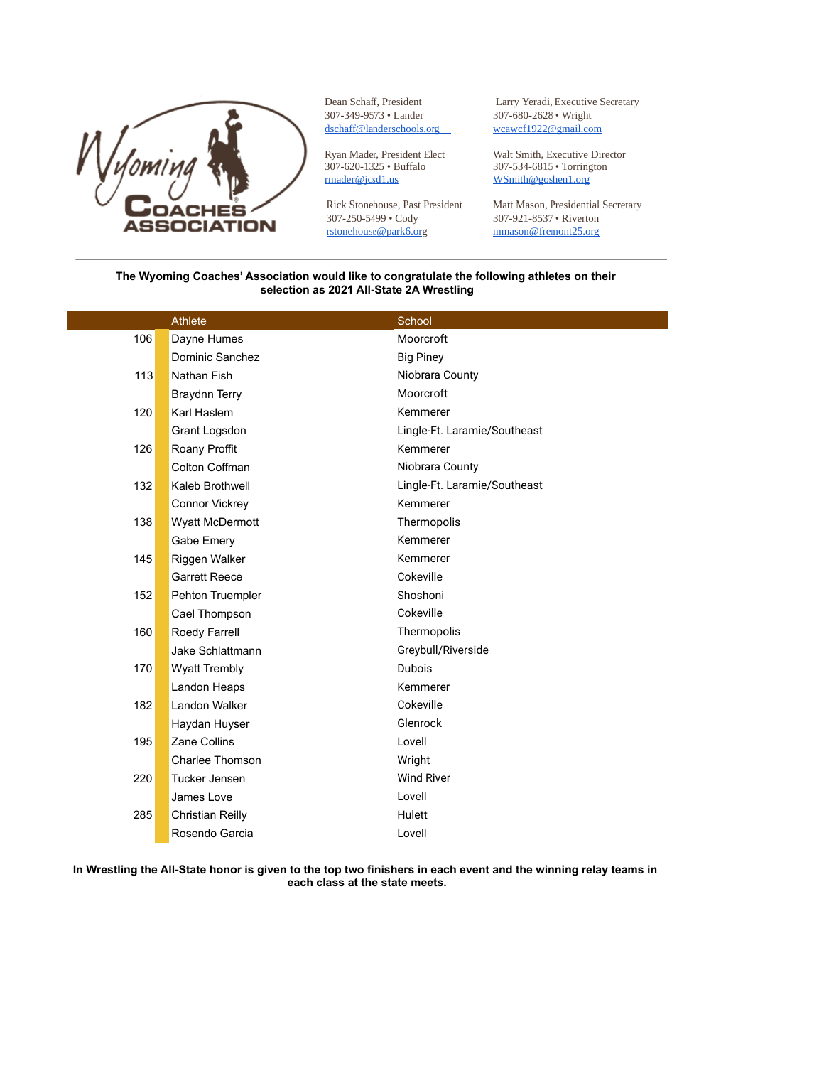

Dean Schaff, President 307-349-9573 • Lander dschaff@landerschools.org

Ryan Mader, President Elect 307-620-1325 · Buffalo rmader@jcsd1.us

Rick Stonehouse, Past President 307-250-5499 · Cody rstonehouse@park6.org

Larry Yeradi, Executive Secretary 307-680-2628 • Wright wcawcf1922@gmail.com

Walt Smith, Executive Director 307-534-6815 • Torrington WSmith@goshen1.org

Matt Mason, Presidential Secretary 307-921-8537 · Riverton mmason@fremont25.org

## **The Wyoming Coaches' Association would like to congratulate the following athletes on their selection as 2021 All-State 2A Wrestling**

|     | Athlete              | School                       |
|-----|----------------------|------------------------------|
| 106 | Dayne Humes          | Moorcroft                    |
|     | Dominic Sanchez      | <b>Big Piney</b>             |
| 113 | Nathan Fish          | Niobrara County              |
|     | Braydnn Terry        | Moorcroft                    |
| 120 | Karl Haslem          | Kemmerer                     |
|     | Grant Logsdon        | Lingle-Ft. Laramie/Southeast |
| 126 | Roany Proffit        | Kemmerer                     |
|     | Colton Coffman       | Niobrara County              |
| 132 | Kaleb Brothwell      | Lingle-Ft. Laramie/Southeast |
|     | Connor Vickrey       | Kemmerer                     |
| 138 | Wyatt McDermott      | Thermopolis                  |
|     | Gabe Emery           | Kemmerer                     |
| 145 | Riggen Walker        | Kemmerer                     |
|     | <b>Garrett Reece</b> | Cokeville                    |
| 152 | Pehton Truempler     | Shoshoni                     |
|     | Cael Thompson        | Cokeville                    |
| 160 | Roedy Farrell        | Thermopolis                  |
|     | Jake Schlattmann     | Greybull/Riverside           |
| 170 | <b>Wyatt Trembly</b> | Dubois                       |
|     | Landon Heaps         | Kemmerer                     |
| 182 | Landon Walker        | Cokeville                    |
|     | Haydan Huyser        | Glenrock                     |
| 195 | Zane Collins         | Lovell                       |
|     | Charlee Thomson      | Wright                       |
| 220 | Tucker Jensen        | <b>Wind River</b>            |
|     | James Love           | Lovell                       |
| 285 | Christian Reilly     | Hulett                       |
|     | Rosendo Garcia       | Lovell                       |
|     |                      |                              |

**In Wrestling the All-State honor is given to the top two finishers in each event and the winning relay teams in each class at the state meets.**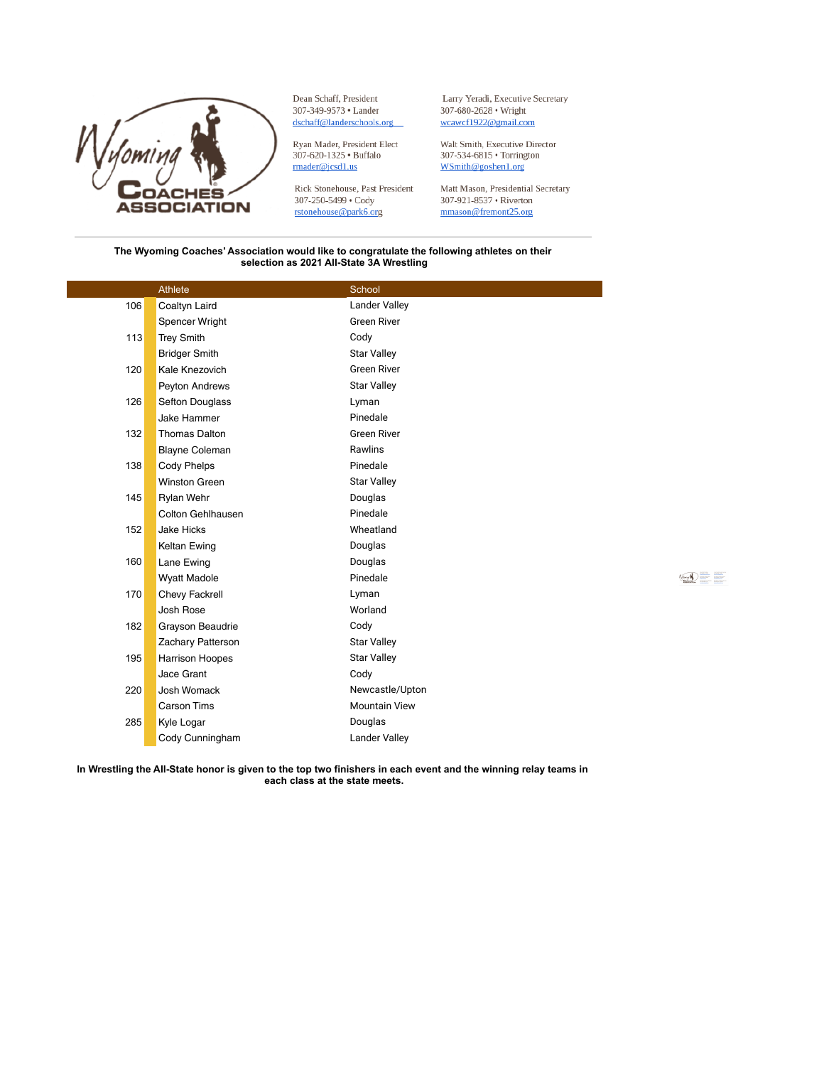

Dean Schaff, President 307-349-9573 • Lander dschaff@landerschools.org

Ryan Mader, President Elect<br>307-620-1325 • Buffalo rmader@jcsd1.us

Rick Stonehouse, Past President 307-250-5499 · Cody rstonehouse@park6.org

Larry Yeradi, Executive Secretary 307-680-2628 • Wright wcawcf1922@gmail.com

Walt Smith, Executive Director  $307\text{-}534\text{-}6815$   $\bullet$  Torrington WSmith@goshen1.org

Matt Mason, Presidential Secretary 307-921-8537 • Riverton mmason@fremont25.org

## The Wyoming Coaches' Association would like to congratulate the following athletes on their selection as 2021 All-State 3A Wrestling

|     | Athlete                | School               |
|-----|------------------------|----------------------|
| 106 | Coaltyn Laird          | <b>Lander Valley</b> |
|     | Spencer Wright         | <b>Green River</b>   |
| 113 | <b>Trey Smith</b>      | Cody                 |
|     | <b>Bridger Smith</b>   | <b>Star Valley</b>   |
| 120 | Kale Knezovich         | <b>Green River</b>   |
|     | Peyton Andrews         | <b>Star Valley</b>   |
| 126 | Sefton Douglass        | Lyman                |
|     | <b>Jake Hammer</b>     | Pinedale             |
| 132 | <b>Thomas Dalton</b>   | <b>Green River</b>   |
|     | <b>Blayne Coleman</b>  | Rawlins              |
| 138 | Cody Phelps            | Pinedale             |
|     | <b>Winston Green</b>   | <b>Star Valley</b>   |
| 145 | Rylan Wehr             | Douglas              |
|     | Colton Gehlhausen      | Pinedale             |
| 152 | <b>Jake Hicks</b>      | Wheatland            |
|     | Keltan Ewing           | Douglas              |
| 160 | Lane Ewing             | Douglas              |
|     | <b>Wyatt Madole</b>    | Pinedale             |
| 170 | Chevy Fackrell         | Lyman                |
|     | Josh Rose              | Worland              |
| 182 | Grayson Beaudrie       | Cody                 |
|     | Zachary Patterson      | <b>Star Valley</b>   |
| 195 | <b>Harrison Hoopes</b> | <b>Star Valley</b>   |
|     | Jace Grant             | Cody                 |
| 220 | Josh Womack            | Newcastle/Upton      |
|     | <b>Carson Tims</b>     | <b>Mountain View</b> |
| 285 | Kyle Logar             | Douglas              |
|     | Cody Cunningham        | <b>Lander Valley</b> |

 $\text{Re}(\textbf{r}) = \frac{1}{\text{Im}(\textbf{r})}$ 

In Wrestling the All-State honor is given to the top two finishers in each event and the winning relay teams in each class at the state meets.